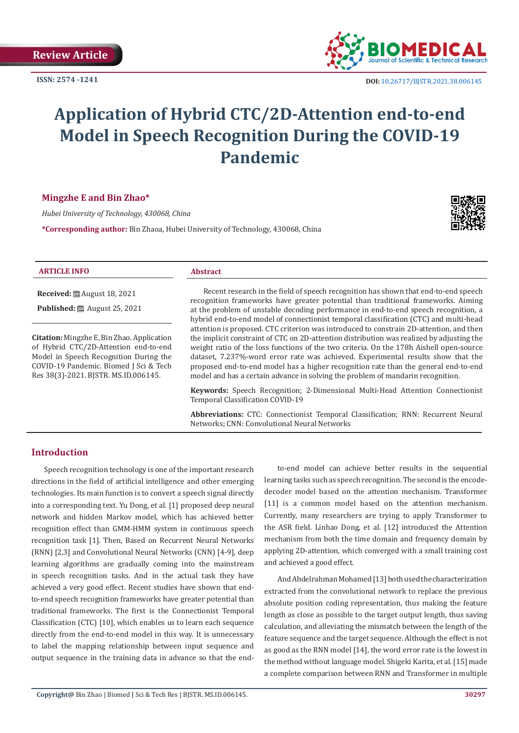

# **Application of Hybrid CTC/2D-Attention end-to-end Model in Speech Recognition During the COVID-19 Pandemic**

## **Mingzhe E and Bin Zhao\***

*Hubei University of Technology, 430068, China*

**\*Corresponding author:** Bin Zhaoa, Hubei University of Technology, 430068, China



| <b>ARTICLE INFO</b>                               | <b>Abstract</b>                                                                                                                                                                  |
|---------------------------------------------------|----------------------------------------------------------------------------------------------------------------------------------------------------------------------------------|
| Received: [29] August 18, 2021                    | Recent research in the field of speech recognition has shown that end-to-end speech<br>recognition frameworks have greater potential than traditional frameworks. Aiming         |
| Published: [29] August 25, 2021                   | at the problem of unstable decoding performance in end-to-end speech recognition, a                                                                                              |
|                                                   | hybrid end-to-end model of connectionist temporal classification (CTC) and multi-head<br>attention is proposed. CTC criterion was introduced to constrain 2D-attention, and then |
| <b>Citation:</b> Mingzhe E, Bin Zhao. Application | the implicit constraint of CTC on 2D-attention distribution was realized by adjusting the                                                                                        |
| of Hybrid CTC/2D-Attention end-to-end             | weight ratio of the loss functions of the two criteria. On the 178h Aishell open-source                                                                                          |
| Model in Speech Recognition During the            | dataset, 7.237%-word error rate was achieved. Experimental results show that the                                                                                                 |
| COVID-19 Pandemic. Biomed J Sci & Tech            | proposed end-to-end model has a higher recognition rate than the general end-to-end                                                                                              |
| Res 38(3)-2021. BISTR. MS.ID.006145.              | model and has a certain advance in solving the problem of mandarin recognition.                                                                                                  |

**Keywords:** Speech Recognition; 2-Dimensional Multi-Head Attention Connectionist Temporal Classification COVID-19

**Abbreviations:** CTC: Connectionist Temporal Classification; RNN: Recurrent Neural Networks; CNN: Convolutional Neural Networks

# **Introduction**

Speech recognition technology is one of the important research directions in the field of artificial intelligence and other emerging technologies. Its main function is to convert a speech signal directly into a corresponding text. Yu Dong, et al. [1] proposed deep neural network and hidden Markov model, which has achieved better recognition effect than GMM-HMM system in continuous speech recognition task [1]. Then, Based on Recurrent Neural Networks (RNN) [2,3] and Convolutional Neural Networks (CNN) [4-9], deep learning algorithms are gradually coming into the mainstream in speech recognition tasks. And in the actual task they have achieved a very good effect. Recent studies have shown that endto-end speech recognition frameworks have greater potential than traditional frameworks. The first is the Connectionist Temporal Classification (CTC) [10], which enables us to learn each sequence directly from the end-to-end model in this way. It is unnecessary to label the mapping relationship between input sequence and output sequence in the training data in advance so that the end-

to-end model can achieve better results in the sequential learning tasks such as speech recognition. The second is the encodedecoder model based on the attention mechanism. Transformer [11] is a common model based on the attention mechanism. Currently, many researchers are trying to apply Transformer to the ASR field. Linhao Dong, et al. [12] introduced the Attention mechanism from both the time domain and frequency domain by applying 2D-attention, which converged with a small training cost and achieved a good effect.

And Abdelrahman Mohamed [13] both used the characterization extracted from the convolutional network to replace the previous absolute position coding representation, thus making the feature length as close as possible to the target output length, thus saving calculation, and alleviating the mismatch between the length of the feature sequence and the target sequence. Although the effect is not as good as the RNN model [14], the word error rate is the lowest in the method without language model. Shigeki Karita, et al. [15] made a complete comparison between RNN and Transformer in multiple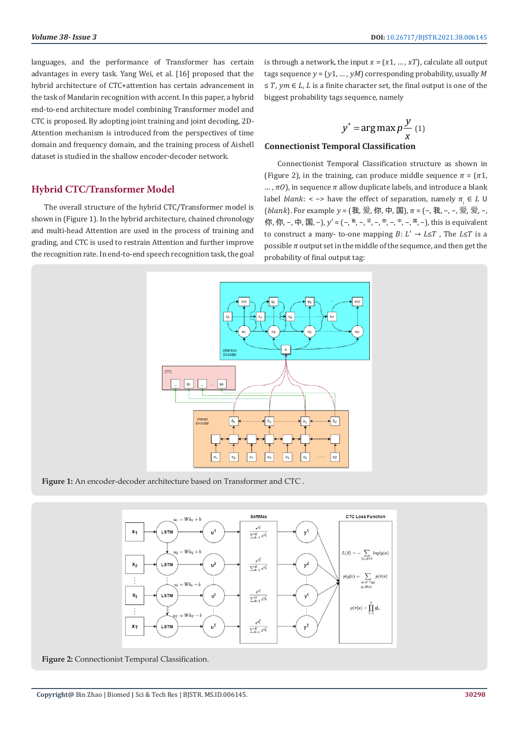languages, and the performance of Transformer has certain advantages in every task. Yang Wei, et al. [16] proposed that the hybrid architecture of CTC+attention has certain advancement in the task of Mandarin recognition with accent. In this paper, a hybrid end-to-end architecture model combining Transformer model and CTC is proposed. By adopting joint training and joint decoding, 2D-Attention mechanism is introduced from the perspectives of time domain and frequency domain, and the training process of Aishell dataset is studied in the shallow encoder-decoder network.

## **Hybrid CTC/Transformer Model**

The overall structure of the hybrid CTC/Transformer model is shown in (Figure 1). In the hybrid architecture, chained chronology and multi-head Attention are used in the process of training and grading, and CTC is used to restrain Attention and further improve the recognition rate. In end-to-end speech recognition task, the goal is through a network, the input  $x = (x1, ..., xT)$ , calculate all output tags sequence  $y = (y1, ..., yM)$  corresponding probability, usually M  $\leq T$ ,  $vm \in L$ , L is a finite character set, the final output is one of the biggest probability tags sequence, namely

$$
y^* = \arg\max p \frac{y}{x}
$$
 (1)

## **Connectionist Temporal Classification**

Connectionist Temporal Classification structure as shown in (Figure 2), in the training, can produce middle sequence  $\pi = (\pi 1,$  $\ldots$ ,  $\pi$ O), in sequence  $\pi$  allow duplicate labels, and introduce a blank label *blank*: < -> have the effect of separation, namely  $\pi_i \in L$  U {blank}. For example  $y = (\nexists; \nsubseteq, \nsubseteq, \nsubseteq, \mp, \nequiv), \pi = (-, \nexists; -, -, \nsubseteq, \nsubseteq, -, \nequiv, \nequiv, \pi, \pi)$  $\langle f, \hat{m}, \hat{m}, -, \hat{p}, \hat{p}\rangle = (-, 1)^{m}$ ,  $\langle \hat{p}, \hat{p}\rangle = (-, 1)^{m}$ ,  $\langle \hat{p}, \hat{p}\rangle = (-, 1)^{m}$ ,  $\langle \hat{p}, \hat{p}\rangle = (-, 1)^{m}$ ,  $\langle \hat{p}, \hat{p}\rangle = (-, 1)^{m}$ ,  $\langle \hat{p}, \hat{p}\rangle = (-, 1)^{m}$ ,  $\langle \hat{p}, \hat{p}\rangle = (-, 1)^{m}$ ,  $\langle \hat{p}, \hat{p}\rangle = (-, 1)^{m}$ to construct a many- to-one mapping  $B: L' \rightarrow L \leq T$ , The  $L \leq T$  is a possible  $\pi$  output set in the middle of the sequence, and then get the probability of final output tag:



**Figure 1:** An encoder-decoder architecture based on Transformer and CTC .



**Figure 2:** Connectionist Temporal Classification.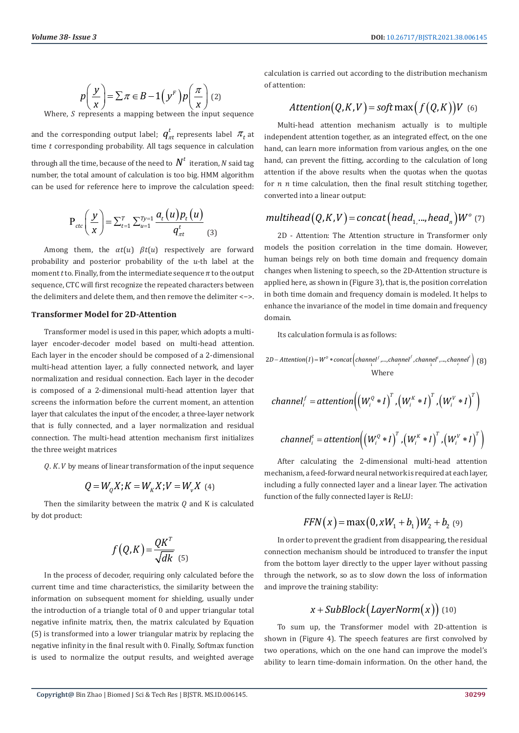$$
p\left(\frac{y}{x}\right) = \sum \pi \in B - 1\left(y^F\right)p\left(\frac{\pi}{x}\right)
$$
 (2)

Where,  $S$  represents a mapping between the input sequence

and the corresponding output label;  $q^t_{\pi t}$  represents label  $\pi_t$  at time  $t$  corresponding probability. All tags sequence in calculation through all the time, because of the need to  $N^t$  iteration, N said tag number, the total amount of calculation is too big. HMM algorithm can be used for reference here to improve the calculation speed:

$$
P_{ctc}\left(\frac{y}{x}\right) = \sum_{t=1}^{T} \sum_{u=1}^{T y=1} \frac{a_t(u) p_t(u)}{q_{\pi t}^t}
$$
(3)

Among them, the  $\alpha t(u)$   $\beta t(u)$  respectively are forward probability and posterior probability of the  $u$ -th label at the moment *t* to. Finally, from the intermediate sequence  $\pi$  to the output sequence, CTC will first recognize the repeated characters between the delimiters and delete them, and then remove the delimiter <−>.

#### **Transformer Model for 2D-Attention**

Transformer model is used in this paper, which adopts a multilayer encoder-decoder model based on multi-head attention. Each layer in the encoder should be composed of a 2-dimensional multi-head attention layer, a fully connected network, and layer normalization and residual connection. Each layer in the decoder is composed of a 2-dimensional multi-head attention layer that screens the information before the current moment, an attention layer that calculates the input of the encoder, a three-layer network that is fully connected, and a layer normalization and residual connection. The multi-head attention mechanism first initializes the three weight matrices

 $Q. K. V$  by means of linear transformation of the input sequence

$$
Q = W_{Q} X; K = W_{K} X; V = W_{V} X
$$
 (4)

Then the similarity between the matrix  $Q$  and K is calculated by dot product:

$$
f(Q,K) = \frac{QK^T}{\sqrt{dk}} \quad (5)
$$

In the process of decoder, requiring only calculated before the current time and time characteristics, the similarity between the information on subsequent moment for shielding, usually under the introduction of a triangle total of 0 and upper triangular total negative infinite matrix, then, the matrix calculated by Equation (5) is transformed into a lower triangular matrix by replacing the negative infinity in the final result with 0. Finally, Softmax function is used to normalize the output results, and weighted average calculation is carried out according to the distribution mechanism of attention:

$$
Attention(Q, K, V) = soft \max(f(Q, K))V
$$
 (6)

Multi-head attention mechanism actually is to multiple independent attention together, as an integrated effect, on the one hand, can learn more information from various angles, on the one hand, can prevent the fitting, according to the calculation of long attention if the above results when the quotas when the quotas for  $n$   $n$  time calculation, then the final result stitching together, converted into a linear output:

# $multihead(Q,K,V) = concat(head_1, ..., head_n)W^o$  (7)

2D - Attention: The Attention structure in Transformer only models the position correlation in the time domain. However, human beings rely on both time domain and frequency domain changes when listening to speech, so the 2D-Attention structure is applied here, as shown in (Figure 3), that is, the position correlation in both time domain and frequency domain is modeled. It helps to enhance the invariance of the model in time domain and frequency domain.

Its calculation formula is as follows:

$$
2D - Atention(I) = W^o * concat{\left(channel^I, \dots, channel^I, channel^I, \dots, channel^t\right)} \tag{8}
$$
  
Where

$$
channel_i^f = attention \Big( \Big( W_i^Q * I \Big)^T, \Big( W_i^K * I \Big)^T, \Big( W_i^V * I \Big)^T \Big)
$$
  
channel\_i^t = attention \Big( \Big( W\_i^Q \* I \Big)^T, \Big( W\_i^K \* I \Big)^T, \Big( W\_i^V \* I \Big)^T \Big)

After calculating the 2-dimensional multi-head attention mechanism, a feed-forward neural network is required at each layer, including a fully connected layer and a linear layer. The activation function of the fully connected layer is ReLU:

$$
FFN(x) = \max(0, xW_1 + b_1)W_2 + b_2
$$
 (9)

In order to prevent the gradient from disappearing, the residual connection mechanism should be introduced to transfer the input from the bottom layer directly to the upper layer without passing through the network, so as to slow down the loss of information and improve the training stability:

# $x + SubBlock (LayerNorm(x))$  (10)

To sum up, the Transformer model with 2D-attention is shown in (Figure 4). The speech features are first convolved by two operations, which on the one hand can improve the model's ability to learn time-domain information. On the other hand, the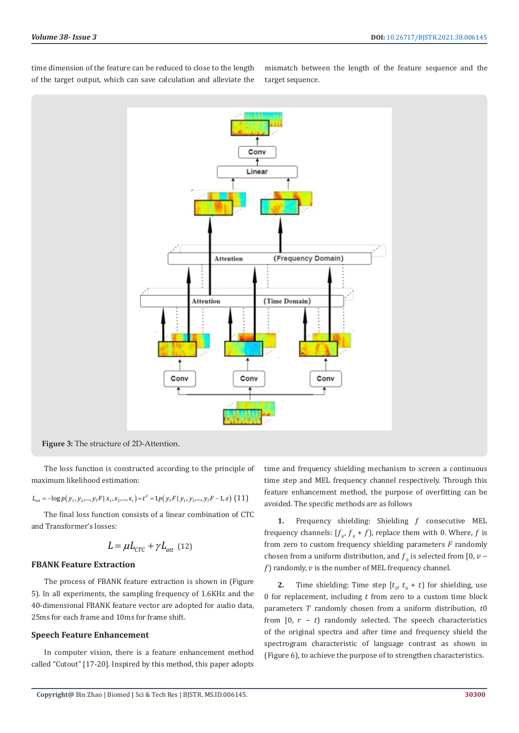time dimension of the feature can be reduced to close to the length of the target output, which can save calculation and alleviate the mismatch between the length of the feature sequence and the target sequence.



**Figure 3:** The structure of 2D-Attention.

The loss function is constructed according to the principle of maximum likelihood estimation:

$$
L_{att} = -\log p(y_1, y_2, ..., y_T F | x_1, x_2, ..., x_t) = t^F = 1p(y_T F | y_1, y_2, ..., y_T F - 1, z)
$$
 (11)

The final loss function consists of a linear combination of CTC and Transformer's losses:

$$
L = \mu L_{CTC} + \gamma L_{att} \text{ (12)}
$$

#### **FBANK Feature Extraction**

The process of FBANK feature extraction is shown in (Figure 5). In all experiments, the sampling frequency of 1.6KHz and the 40-dimensional FBANK feature vector are adopted for audio data, 25ms for each frame and 10ms for frame shift.

#### **Speech Feature Enhancement**

In computer vision, there is a feature enhancement method called "Cutout" [17-20]. Inspired by this method, this paper adopts time and frequency shielding mechanism to screen a continuous time step and MEL frequency channel respectively. Through this feature enhancement method, the purpose of overfitting can be avoided. The specific methods are as follows

1. Frequency shielding: Shielding f consecutive MEL frequency channels:  $[f_{\alpha'} f_{\beta} + f]$ , replace them with 0. Where, f is from zero to custom frequency shielding parameters  $F$  randomly chosen from a uniform distribution, and  $f_{\alpha}$  is selected from [0,  $\nu$  –  $f$ ) randomly,  $v$  is the number of MEL frequency channel.

**2.** Time shielding: Time step  $[t_0, t_0 + t]$  for shielding, use 0 for replacement, including  $t$  from zero to a custom time block parameters  $T$  randomly chosen from a uniform distribution,  $t0$ from  $[0, r - t]$  randomly selected. The speech characteristics of the original spectra and after time and frequency shield the spectrogram characteristic of language contrast as shown in (Figure 6), to achieve the purpose of to strengthen characteristics.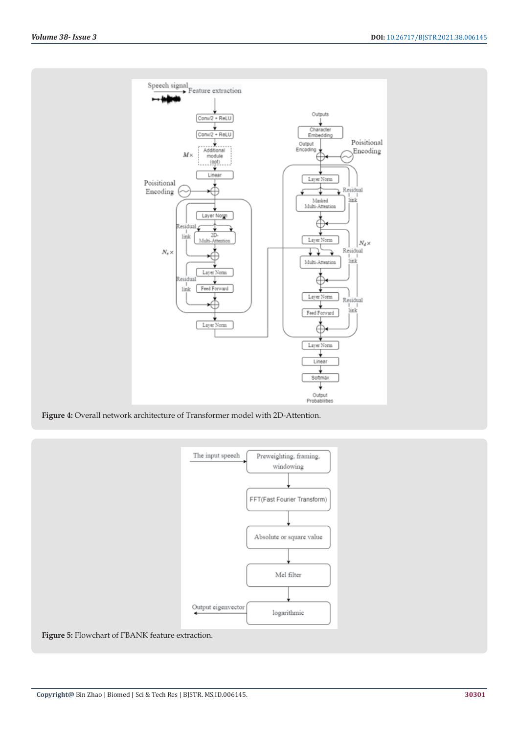

**Figure 4:** Overall network architecture of Transformer model with 2D-Attention.



**Figure 5:** Flowchart of FBANK feature extraction.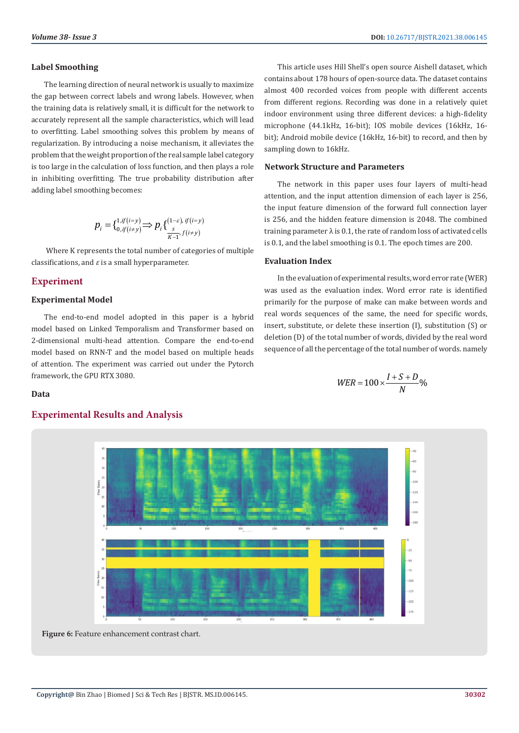#### **Label Smoothing**

The learning direction of neural network is usually to maximize the gap between correct labels and wrong labels. However, when the training data is relatively small, it is difficult for the network to accurately represent all the sample characteristics, which will lead to overfitting. Label smoothing solves this problem by means of regularization. By introducing a noise mechanism, it alleviates the problem that the weight proportion of the real sample label category is too large in the calculation of loss function, and then plays a role in inhibiting overfitting. The true probability distribution after adding label smoothing becomes:

$$
p_i = \left\{ \begin{matrix} 1, if(i=y) \\ 0, if(i \neq y) \end{matrix} \right\} \Rightarrow p_i \left\{ \frac{(1-\varepsilon), if(i=y)}{\frac{s}{K-1}, f(i \neq y)} \right\}
$$

 Where K represents the total number of categories of multiple classifications, and  $\varepsilon$  is a small hyperparameter.

# **Experiment**

#### **Experimental Model**

The end-to-end model adopted in this paper is a hybrid model based on Linked Temporalism and Transformer based on 2-dimensional multi-head attention. Compare the end-to-end model based on RNN-T and the model based on multiple heads of attention. The experiment was carried out under the Pytorch framework, the GPU RTX 3080.

This article uses Hill Shell's open source Aishell dataset, which contains about 178 hours of open-source data. The dataset contains almost 400 recorded voices from people with different accents from different regions. Recording was done in a relatively quiet indoor environment using three different devices: a high-fidelity microphone (44.1kHz, 16-bit); IOS mobile devices (16kHz, 16 bit); Android mobile device (16kHz, 16-bit) to record, and then by sampling down to 16kHz.

#### **Network Structure and Parameters**

The network in this paper uses four layers of multi-head attention, and the input attention dimension of each layer is 256, the input feature dimension of the forward full connection layer is 256, and the hidden feature dimension is 2048. The combined training parameter  $\lambda$  is 0.1, the rate of random loss of activated cells is 0.1, and the label smoothing is 0.1. The epoch times are 200.

#### **Evaluation Index**

In the evaluation of experimental results, word error rate (WER) was used as the evaluation index. Word error rate is identified primarily for the purpose of make can make between words and real words sequences of the same, the need for specific words, insert, substitute, or delete these insertion (I), substitution (S) or deletion (D) of the total number of words, divided by the real word sequence of all the percentage of the total number of words. namely

$$
WER = 100 \times \frac{I + S + D}{N} \%
$$





# **Experimental Results and Analysis**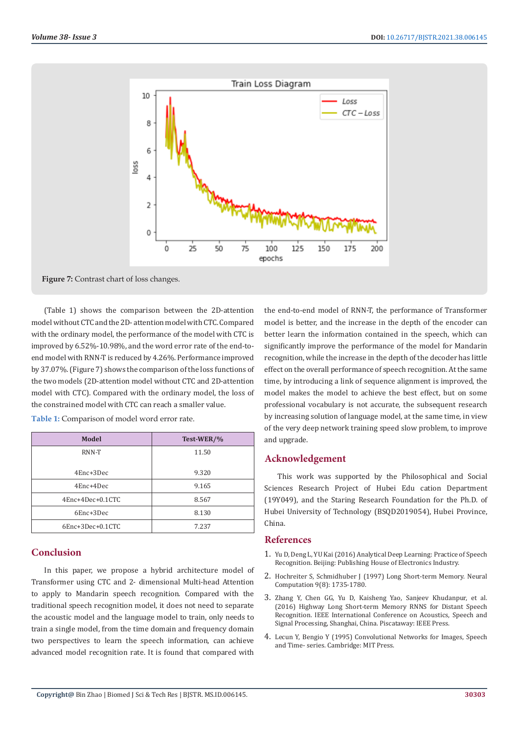

Figure 7: Contrast chart of loss changes.

(Table 1) shows the comparison between the 2D-attention model without CTC and the 2D- attention model with CTC. Compared with the ordinary model, the performance of the model with CTC is improved by 6.52%-10.98%, and the word error rate of the end-toend model with RNN-T is reduced by 4.26%. Performance improved by 37.07%. (Figure 7) shows the comparison of the loss functions of the two models (2D-attention model without CTC and 2D-attention model with CTC). Compared with the ordinary model, the loss of the constrained model with CTC can reach a smaller value.

| Model            | Test-WER/% |
|------------------|------------|
| RNN-T            | 11.50      |
|                  |            |
| 4Enc+3Dec        | 9.320      |
| 4Enc+4Dec        | 9.165      |
| 4Enc+4Dec+0.1CTC | 8.567      |
| 6Enc+3Dec        | 8.130      |
| 6Enc+3Dec+0.1CTC | 7.237      |

**Table 1:** Comparison of model word error rate.

# **Conclusion**

In this paper, we propose a hybrid architecture model of Transformer using CTC and 2- dimensional Multi-head Attention to apply to Mandarin speech recognition. Compared with the traditional speech recognition model, it does not need to separate the acoustic model and the language model to train, only needs to train a single model, from the time domain and frequency domain two perspectives to learn the speech information, can achieve advanced model recognition rate. It is found that compared with

the end-to-end model of RNN-T, the performance of Transformer model is better, and the increase in the depth of the encoder can better learn the information contained in the speech, which can significantly improve the performance of the model for Mandarin recognition, while the increase in the depth of the decoder has little effect on the overall performance of speech recognition. At the same time, by introducing a link of sequence alignment is improved, the model makes the model to achieve the best effect, but on some professional vocabulary is not accurate, the subsequent research by increasing solution of language model, at the same time, in view of the very deep network training speed slow problem, to improve and upgrade.

#### **Acknowledgement**

This work was supported by the Philosophical and Social Sciences Research Project of Hubei Edu cation Department (19Y049), and the Staring Research Foundation for the Ph.D. of Hubei University of Technology (BSQD2019054), Hubei Province, China.

#### **References**

- 1. Yu D, Deng L, YU Kai (2016) Analytical Deep Learning: Practice of Speech Recognition. Beijing: Publishing House of Electronics Industry.
- 2. Hochreiter S, Schmidhuber J (1997) Long Short-term Memory. Neural Computation 9(8): 1735-1780.
- 3. [Zhang Y, Chen GG, Yu D, Kaisheng Yao, Sanjeev Khudanpur, et al.](https://arxiv.org/abs/1510.08983) [\(2016\) Highway Long Short-term Memory RNNS for Distant Speech](https://arxiv.org/abs/1510.08983) [Recognition. IEEE International Conference on Acoustics, Speech and](https://arxiv.org/abs/1510.08983) [Signal Processing, Shanghai, China. Piscataway: IEEE Press.](https://arxiv.org/abs/1510.08983)
- 4. [Lecun Y, Bengio Y \(1995\) Convolutional Networks for Images, Speech](https://dl.acm.org/doi/10.5555/303568.303704) [and Time- series. Cambridge: MIT Press.](https://dl.acm.org/doi/10.5555/303568.303704)